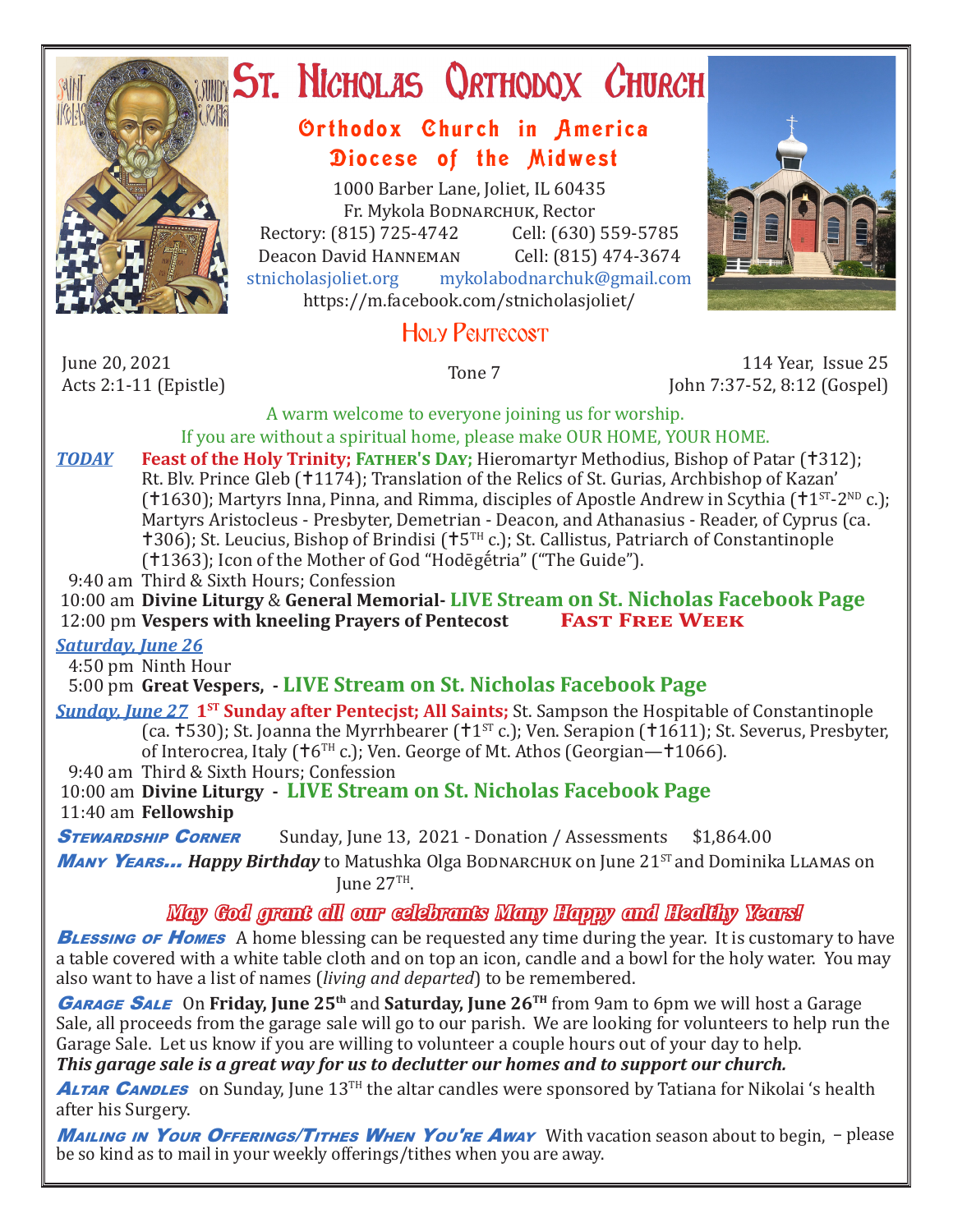

# ST. NICHOLAS QRTHODOX CHURCH

## Orthodox Church in America Diocese of the Midwest

1000 Barber Lane, Joliet, IL 60435 Fr. Mykola Bodnarchuk, Rector<br>315) 725-4742 Cell: (630) 559-5785 Rectory: (815) 725-4742 Cell: (630) 559-5785<br>Deacon David HANNEMAN Cell: (815) 474-3674 Deacon David Hanneman<br>stnicholasioliet.org mykola mykolabodnarchuk@gmail.com https://m.facebook.com/stnicholasjoliet/

## HOLY PENTECOST

June 20, 2021<br>Acts 2:1-11 (Epistle)

Acts 2:1-11 (Epistle) Tone 7 114 Year, Issue 25 John 7:37-52, 8:12 (Gospel)

A warm welcome to everyone joining us for worship. If you are without a spiritual home, please make OUR HOME, YOUR HOME.

- *TODAY* **Feast of the Holy Trinity; FATHER'S DAY**; Hieromartyr Methodius, Bishop of Patar (†312); Rt. Blv. Prince Gleb (†1174); Translation of the Relics of St. Gurias, Archbishop of Kazan' ( $1630$ ); Martyrs Inna, Pinna, and Rimma, disciples of Apostle Andrew in Scythia ( $1^{ST}$ -2<sup>ND</sup> c.); Martyrs Aristocleus - Presbyter, Demetrian - Deacon, and Athanasius - Reader, of Cyprus (ca.  $\text{1306}$ ; St. Leucius, Bishop of Brindisi ( $\text{15}^{\text{TH}}$  c.); St. Callistus, Patriarch of Constantinople (1363); Icon of the Mother of God "Hodēgḗtria" ("The Guide").
- 9:40 am Third & Sixth Hours; Confession

 10:00 am **Divine Liturgy** & **General Memorial- LIVE Stream on St. Nicholas Facebook Page** 12:00 pm **Vespers with kneeling Prayers of Pentecost Fast Free Week**

## *Saturday, June 26*

4:50 pm Ninth Hour

5:00 pm **Great Vespers, - LIVE Stream on St. Nicholas Facebook Page**

*Sunday, June 27* **1<sup>st</sup> Sunday after Pentecjst; All Saints;** St. Sampson the Hospitable of Constantinople (ca.  $\pm$  530); St. Joanna the Myrrhbearer ( $\pm$ 1<sup>st</sup> c.); Ven. Serapion ( $\pm$ 1611); St. Severus, Presbyter, of Interocrea, Italy ( $\text{\textsf{t}}$ 6<sup>TH</sup> c.); Ven. George of Mt. Athos (Georgian— $\text{\textsf{t}}$ 1066).

9:40 am Third & Sixth Hours; Confession

 10:00 am **Divine Liturgy - LIVE Stream on St. Nicholas Facebook Page** 11:40 am **Fellowship**

**STEWARDSHIP CORNER** Sunday, June 13, 2021 - Donation / Assessments \$1,864.00

**Many Years... Happy Birthday** to Matushka Olga Bodnarchuk on June 21<sup>ST</sup> and Dominika LLAMAS on Iune  $27^{TH}$ .

## *May God grant all our celebrants Many Happy and Healthy Years!*

**BLESSING OF HOMES** A home blessing can be requested any time during the year. It is customary to have a table covered with a white table cloth and on top an icon, candle and a bowl for the holy water. You may also want to have a list of names (*living and departed*) to be remembered.

<sup>G</sup>arage Sale On **Friday, June 25th** and **Saturday, June 26TH** from 9am to 6pm we will host a Garage Sale, all proceeds from the garage sale will go to our parish. We are looking for volunteers to help run the Garage Sale. Let us know if you are willing to volunteer a couple hours out of your day to help.

*This garage sale is a great way for us to declutter our homes and to support our church.*

**ALTAR CANDLES** on Sunday, June 13<sup>TH</sup> the altar candles were sponsored by Tatiana for Nikolai 's health after his Surgery.

**Mailing in Your Offerings/Tithes When You're Away** With vacation season about to begin, - please be so kind as to mail in your weekly offerings/tithes when you are away.